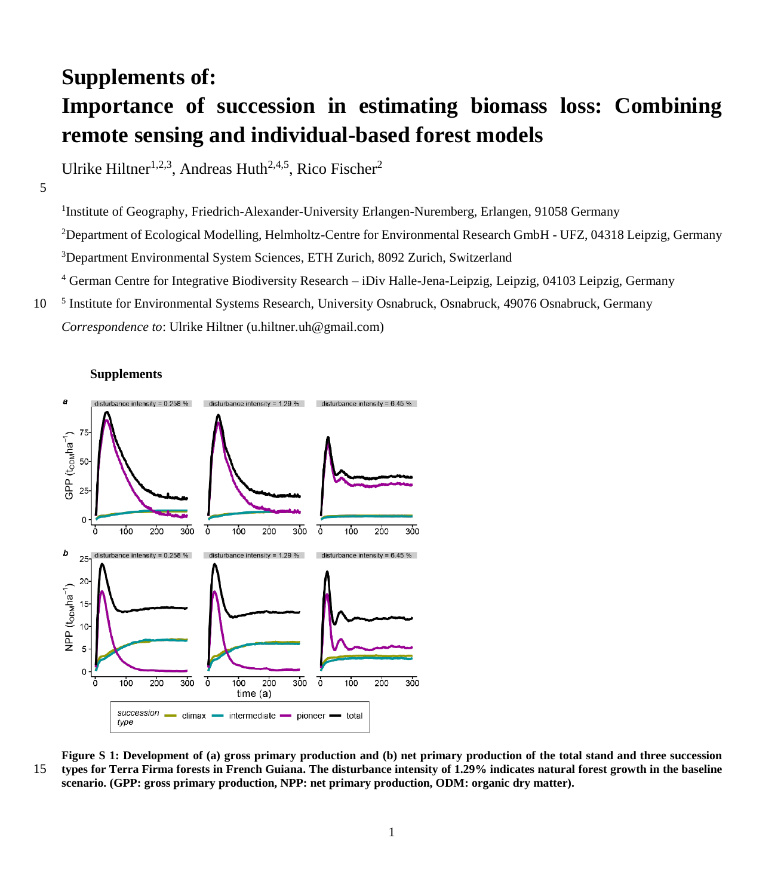## **Supplements of: Importance of succession in estimating biomass loss: Combining remote sensing and individual-based forest models**

Ulrike Hiltner<sup>1,2,3</sup>, Andreas Huth<sup>2,4,5</sup>, Rico Fischer<sup>2</sup>

5

<sup>1</sup>Institute of Geography, Friedrich-Alexander-University Erlangen-Nuremberg, Erlangen, 91058 Germany Department of Ecological Modelling, Helmholtz-Centre for Environmental Research GmbH - UFZ, 04318 Leipzig, Germany Department Environmental System Sciences, ETH Zurich, 8092 Zurich, Switzerland German Centre for Integrative Biodiversity Research – iDiv Halle-Jena-Leipzig, Leipzig, 04103 Leipzig, Germany 10 Institute for Environmental Systems Research, University Osnabruck, Osnabruck, 49076 Osnabruck, Germany

*Correspondence to*: Ulrike Hiltner (u.hiltner.uh@gmail.com)





**Figure S 1: Development of (a) gross primary production and (b) net primary production of the total stand and three succession**  15 **types for Terra Firma forests in French Guiana. The disturbance intensity of 1.29% indicates natural forest growth in the baseline scenario. (GPP: gross primary production, NPP: net primary production, ODM: organic dry matter).**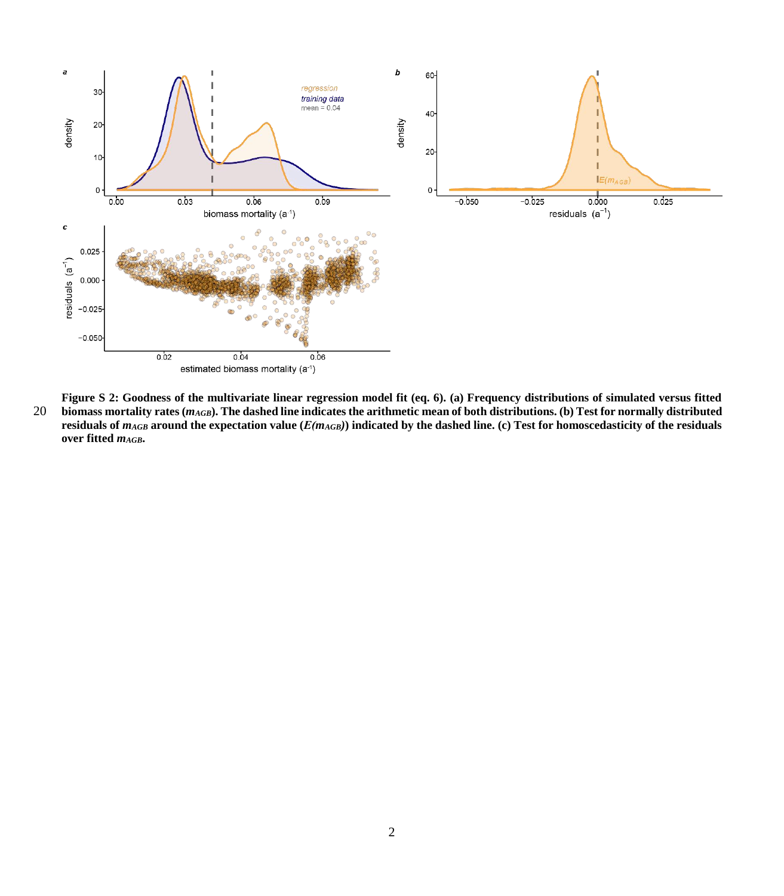

**Figure S 2: Goodness of the multivariate linear regression model fit (eq. 6). (a) Frequency distributions of simulated versus fitted**  20 **biomass mortality rates (***mAGB***). The dashed line indicates the arithmetic mean of both distributions. (b) Test for normally distributed residuals of** *mAGB* **around the expectation value (***Ε(mAGB)***) indicated by the dashed line. (c) Test for homoscedasticity of the residuals over fitted** *mAGB***.**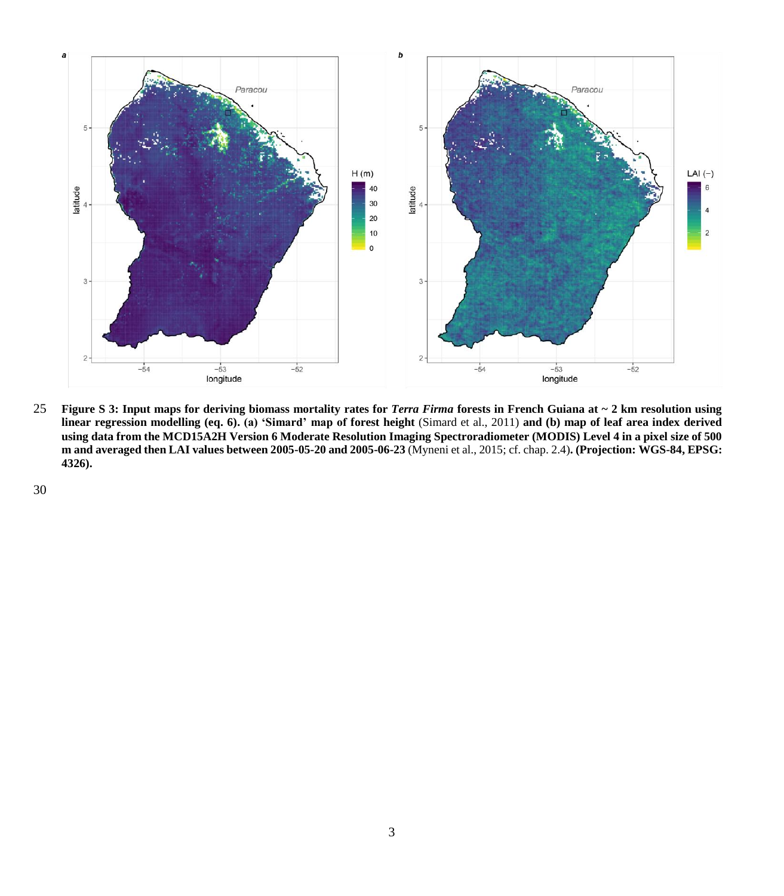

25 **Figure S 3: Input maps for deriving biomass mortality rates for** *Terra Firma* **forests in French Guiana at ~ 2 km resolution using linear regression modelling (eq. 6). (a) 'Simard' map of forest height** (Simard et al., 2011) **and (b) map of leaf area index derived using data from the MCD15A2H Version 6 Moderate Resolution Imaging Spectroradiometer (MODIS) Level 4 in a pixel size of 500 m and averaged then LAI values between 2005-05-20 and 2005-06-23** (Myneni et al., 2015; cf. chap. 2.4)**. (Projection: WGS-84, EPSG: 4326).**

30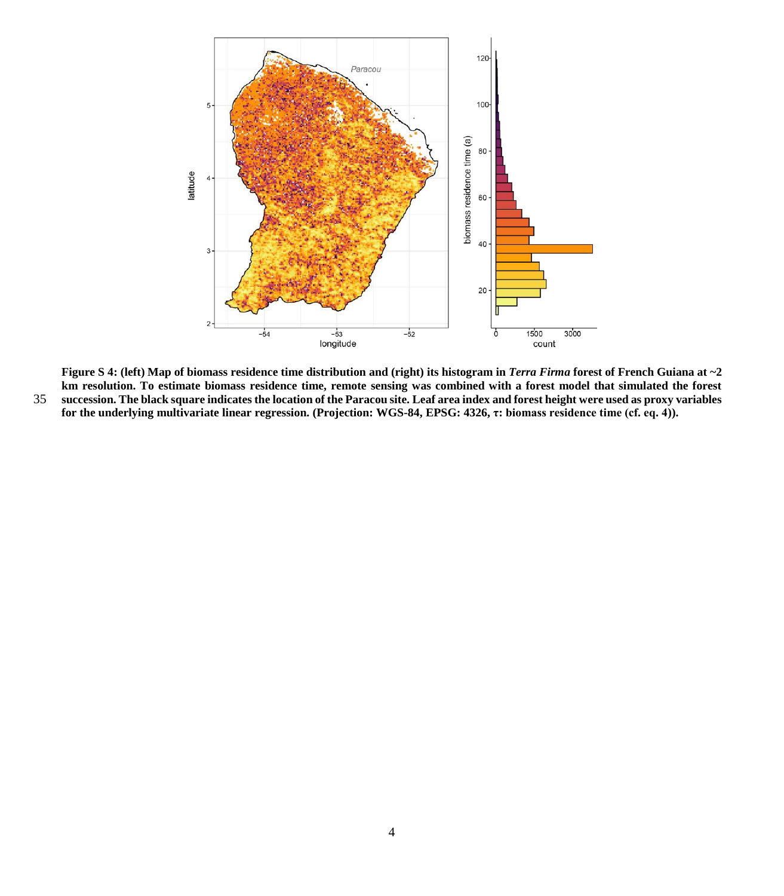

**Figure S 4:** (left) Map of biomass residence time distribution and (right) its histogram in *Terra Firma* forest of French Guiana at  $\sim$ 2 **km resolution. To estimate biomass residence time, remote sensing was combined with a forest model that simulated the forest**  35 **succession. The black square indicates the location of the Paracou site. Leaf area index and forest height were used as proxy variables for the underlying multivariate linear regression. (Projection: WGS-84, EPSG: 4326, τ: biomass residence time (cf. eq. 4)).**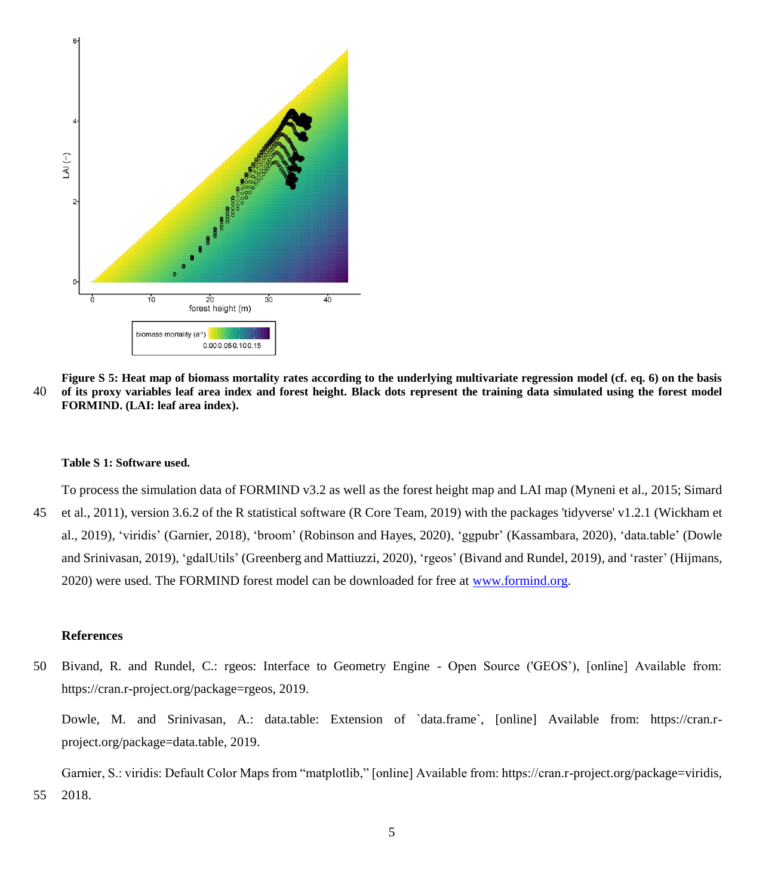

**Figure S 5: Heat map of biomass mortality rates according to the underlying multivariate regression model (cf. eq. 6) on the basis**  40 **of its proxy variables leaf area index and forest height. Black dots represent the training data simulated using the forest model FORMIND. (LAI: leaf area index).**

## **Table S 1: Software used.**

To process the simulation data of FORMIND v3.2 as well as the forest height map and LAI map (Myneni et al., 2015; Simard 45 et al., 2011), version 3.6.2 of the R statistical software (R Core Team, 2019) with the packages 'tidyverse' v1.2.1 (Wickham et al., 2019), 'viridis' (Garnier, 2018), 'broom' (Robinson and Hayes, 2020), 'ggpubr' (Kassambara, 2020), 'data.table' (Dowle and Srinivasan, 2019), 'gdalUtils' (Greenberg and Mattiuzzi, 2020), 'rgeos' (Bivand and Rundel, 2019), and 'raster' (Hijmans, 2020) were used. The FORMIND forest model can be downloaded for free at [www.formind.org.](http://www.formind.org/)

## **References**

50 Bivand, R. and Rundel, C.: rgeos: Interface to Geometry Engine - Open Source ('GEOS'), [online] Available from: https://cran.r-project.org/package=rgeos, 2019.

Dowle, M. and Srinivasan, A.: data.table: Extension of `data.frame`, [online] Available from: https://cran.rproject.org/package=data.table, 2019.

Garnier, S.: viridis: Default Color Maps from "matplotlib," [online] Available from: https://cran.r-project.org/package=viridis, 55 2018.